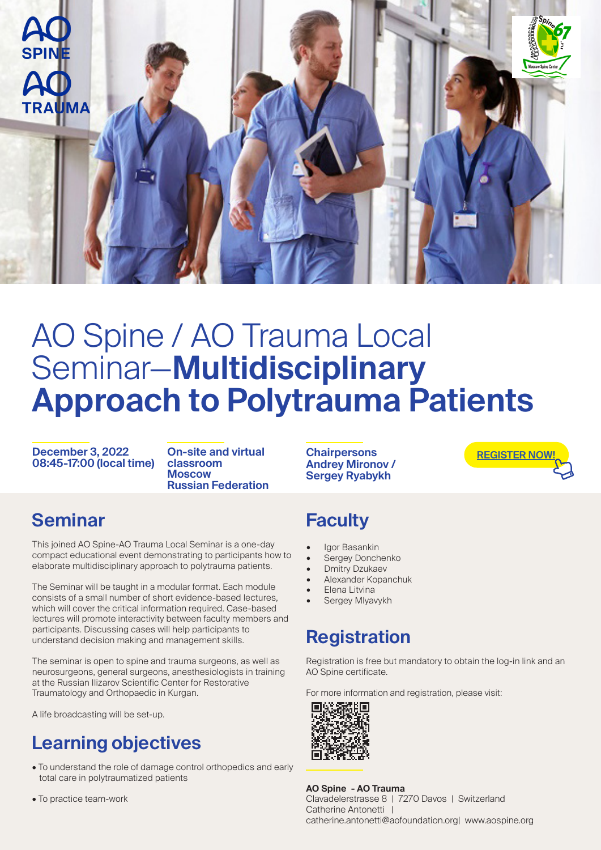

# AO Spine / AO Trauma Local Seminar—**Multidisciplinary Approach to Polytrauma Patients**

**December 3, 2022 08:45-17:00 (local time)**

**On-site and virtual classroom Moscow Russian Federation**

#### **Seminar**

This joined AO Spine-AO Trauma Local Seminar is a one-day compact educational event demonstrating to participants how to elaborate multidisciplinary approach to polytrauma patients.

The Seminar will be taught in a modular format. Each module consists of a small number of short evidence-based lectures, which will cover the critical information required. Case-based lectures will promote interactivity between faculty members and participants. Discussing cases will help participants to understand decision making and management skills.

The seminar is open to spine and trauma surgeons, as well as neurosurgeons, general surgeons, anesthesiologists in training at the Russian Ilizarov Scientific Center for Restorative Traumatology and Orthopaedic in Kurgan.

A life broadcasting will be set-up.

#### **Learning objectives**

- To understand the role of damage control orthopedics and early total care in polytraumatized patients
- To practice team-work

**Chairpersons Andrey Mironov / Sergey Ryabykh**

**[REGISTER NOW!](https://aofoundation.force.com/eventapi__router?event=a1R08000009Vbv1&site=a0a1p00000a7dim)**

#### **Faculty**

- Igor Basankin
- Sergey Donchenko
- **Dmitry Dzukaev**
- Alexander Kopanchuk
- Elena Litvina
- Sergey Mlyavykh

#### **Registration**

Registration is free but mandatory to obtain the log-in link and an AO Spine certificate.

For more information and registration, please visit:



**AO Spine - AO Trauma** Clavadelerstrasse 8 | 7270 Davos | Switzerland Catherine Antonetti |

catherine.antonetti@aofoundation.org| www.aospine.org